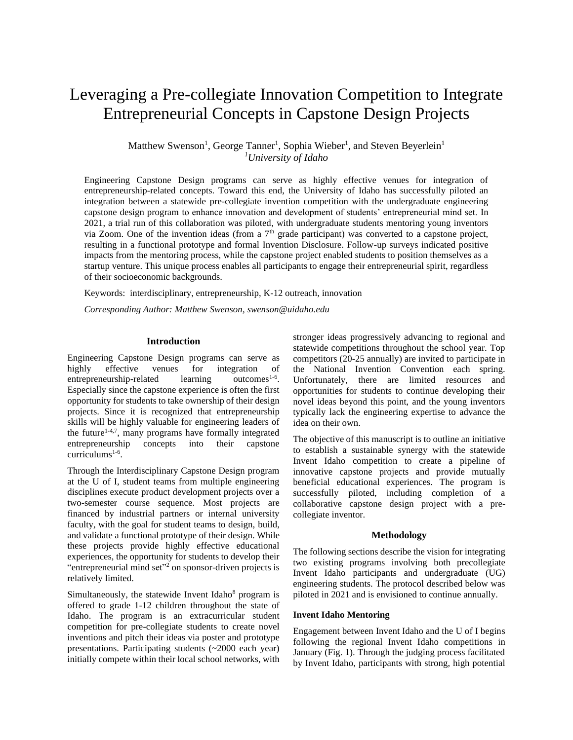# Leveraging a Pre-collegiate Innovation Competition to Integrate Entrepreneurial Concepts in Capstone Design Projects

## Matthew Swenson<sup>1</sup>, George Tanner<sup>1</sup>, Sophia Wieber<sup>1</sup>, and Steven Beyerlein<sup>1</sup> *<sup>1</sup>University of Idaho*

Engineering Capstone Design programs can serve as highly effective venues for integration of entrepreneurship-related concepts. Toward this end, the University of Idaho has successfully piloted an integration between a statewide pre-collegiate invention competition with the undergraduate engineering capstone design program to enhance innovation and development of students' entrepreneurial mind set. In 2021, a trial run of this collaboration was piloted, with undergraduate students mentoring young inventors via Zoom. One of the invention ideas (from a  $7<sup>th</sup>$  grade participant) was converted to a capstone project, resulting in a functional prototype and formal Invention Disclosure. Follow-up surveys indicated positive impacts from the mentoring process, while the capstone project enabled students to position themselves as a startup venture. This unique process enables all participants to engage their entrepreneurial spirit, regardless of their socioeconomic backgrounds.

Keywords:interdisciplinary, entrepreneurship, K-12 outreach, innovation

*Corresponding Author: Matthew Swenson, swenson@uidaho.edu*

#### **Introduction**

Engineering Capstone Design programs can serve as highly effective venues for integration of entrepreneurship-related learning outcomes<sup>1-6</sup>. Especially since the capstone experience is often the first opportunity for students to take ownership of their design projects. Since it is recognized that entrepreneurship skills will be highly valuable for engineering leaders of the future $1-4.7$ , many programs have formally integrated entrepreneurship concepts into their capstone curriculums<sup>1-6</sup>.

Through the Interdisciplinary Capstone Design program at the U of I, student teams from multiple engineering disciplines execute product development projects over a two-semester course sequence. Most projects are financed by industrial partners or internal university faculty, with the goal for student teams to design, build, and validate a functional prototype of their design. While these projects provide highly effective educational experiences, the opportunity for students to develop their "entrepreneurial mind set"<sup>2</sup> on sponsor-driven projects is relatively limited.

Simultaneously, the statewide Invent Idaho<sup>8</sup> program is offered to grade 1-12 children throughout the state of Idaho. The program is an extracurricular student competition for pre-collegiate students to create novel inventions and pitch their ideas via poster and prototype presentations. Participating students (~2000 each year) initially compete within their local school networks, with stronger ideas progressively advancing to regional and statewide competitions throughout the school year. Top competitors (20-25 annually) are invited to participate in the National Invention Convention each spring. Unfortunately, there are limited resources and opportunities for students to continue developing their novel ideas beyond this point, and the young inventors typically lack the engineering expertise to advance the idea on their own.

The objective of this manuscript is to outline an initiative to establish a sustainable synergy with the statewide Invent Idaho competition to create a pipeline of innovative capstone projects and provide mutually beneficial educational experiences. The program is successfully piloted, including completion of a collaborative capstone design project with a precollegiate inventor.

#### **Methodology**

The following sections describe the vision for integrating two existing programs involving both precollegiate Invent Idaho participants and undergraduate (UG) engineering students. The protocol described below was piloted in 2021 and is envisioned to continue annually.

#### **Invent Idaho Mentoring**

Engagement between Invent Idaho and the U of I begins following the regional Invent Idaho competitions in January (Fig. 1). Through the judging process facilitated by Invent Idaho, participants with strong, high potential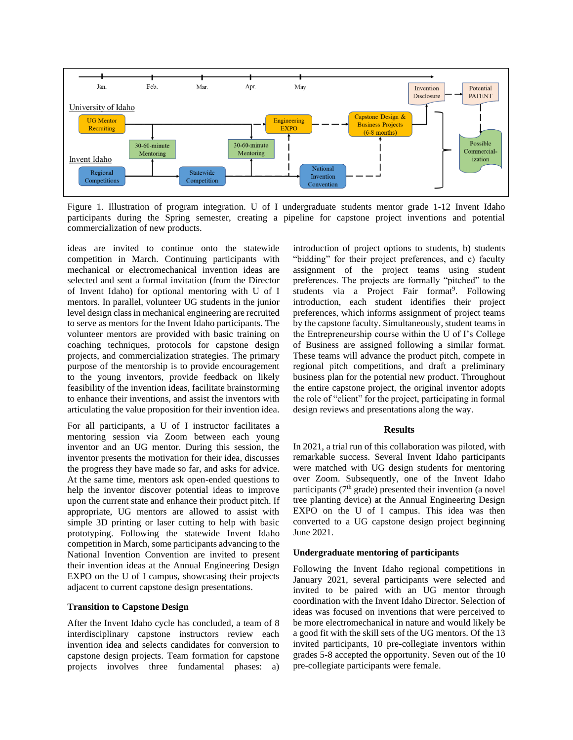

Figure 1. Illustration of program integration. U of I undergraduate students mentor grade 1-12 Invent Idaho participants during the Spring semester, creating a pipeline for capstone project inventions and potential commercialization of new products.

ideas are invited to continue onto the statewide competition in March. Continuing participants with mechanical or electromechanical invention ideas are selected and sent a formal invitation (from the Director of Invent Idaho) for optional mentoring with U of I mentors. In parallel, volunteer UG students in the junior level design class in mechanical engineering are recruited to serve as mentors for the Invent Idaho participants. The volunteer mentors are provided with basic training on coaching techniques, protocols for capstone design projects, and commercialization strategies. The primary purpose of the mentorship is to provide encouragement to the young inventors, provide feedback on likely feasibility of the invention ideas, facilitate brainstorming to enhance their inventions, and assist the inventors with articulating the value proposition for their invention idea.

For all participants, a U of I instructor facilitates a mentoring session via Zoom between each young inventor and an UG mentor. During this session, the inventor presents the motivation for their idea, discusses the progress they have made so far, and asks for advice. At the same time, mentors ask open-ended questions to help the inventor discover potential ideas to improve upon the current state and enhance their product pitch. If appropriate, UG mentors are allowed to assist with simple 3D printing or laser cutting to help with basic prototyping. Following the statewide Invent Idaho competition in March, some participants advancing to the National Invention Convention are invited to present their invention ideas at the Annual Engineering Design EXPO on the U of I campus, showcasing their projects adjacent to current capstone design presentations.

## **Transition to Capstone Design**

After the Invent Idaho cycle has concluded, a team of 8 interdisciplinary capstone instructors review each invention idea and selects candidates for conversion to capstone design projects. Team formation for capstone projects involves three fundamental phases: a)

introduction of project options to students, b) students "bidding" for their project preferences, and c) faculty assignment of the project teams using student preferences. The projects are formally "pitched" to the students via a Project Fair format<sup>9</sup>. Following introduction, each student identifies their project preferences, which informs assignment of project teams by the capstone faculty. Simultaneously, student teams in the Entrepreneurship course within the U of I's College of Business are assigned following a similar format. These teams will advance the product pitch, compete in regional pitch competitions, and draft a preliminary business plan for the potential new product. Throughout the entire capstone project, the original inventor adopts the role of "client" for the project, participating in formal design reviews and presentations along the way.

#### **Results**

In 2021, a trial run of this collaboration was piloted, with remarkable success. Several Invent Idaho participants were matched with UG design students for mentoring over Zoom. Subsequently, one of the Invent Idaho participants ( $7<sup>th</sup>$  grade) presented their invention (a novel tree planting device) at the Annual Engineering Design EXPO on the U of I campus. This idea was then converted to a UG capstone design project beginning June 2021.

## **Undergraduate mentoring of participants**

Following the Invent Idaho regional competitions in January 2021, several participants were selected and invited to be paired with an UG mentor through coordination with the Invent Idaho Director. Selection of ideas was focused on inventions that were perceived to be more electromechanical in nature and would likely be a good fit with the skill sets of the UG mentors. Of the 13 invited participants, 10 pre-collegiate inventors within grades 5-8 accepted the opportunity. Seven out of the 10 pre-collegiate participants were female.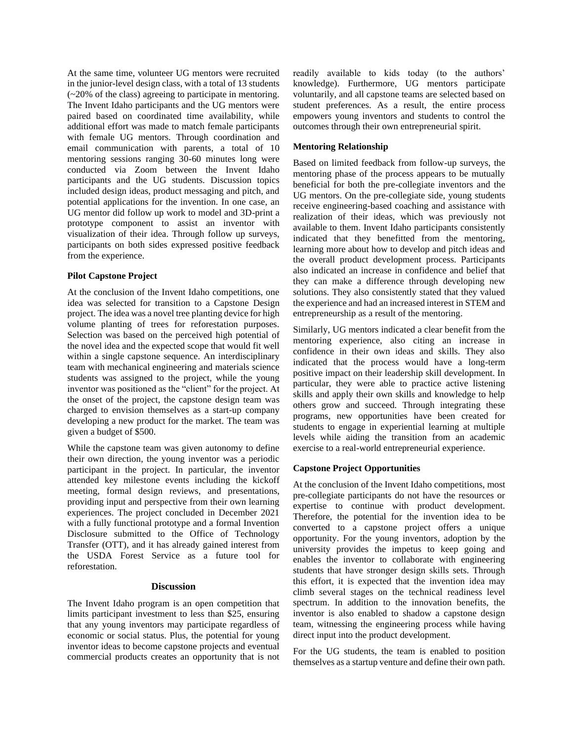At the same time, volunteer UG mentors were recruited in the junior-level design class, with a total of 13 students (~20% of the class) agreeing to participate in mentoring. The Invent Idaho participants and the UG mentors were paired based on coordinated time availability, while additional effort was made to match female participants with female UG mentors. Through coordination and email communication with parents, a total of 10 mentoring sessions ranging 30-60 minutes long were conducted via Zoom between the Invent Idaho participants and the UG students. Discussion topics included design ideas, product messaging and pitch, and potential applications for the invention. In one case, an UG mentor did follow up work to model and 3D-print a prototype component to assist an inventor with visualization of their idea. Through follow up surveys, participants on both sides expressed positive feedback from the experience.

## **Pilot Capstone Project**

At the conclusion of the Invent Idaho competitions, one idea was selected for transition to a Capstone Design project. The idea was a novel tree planting device for high volume planting of trees for reforestation purposes. Selection was based on the perceived high potential of the novel idea and the expected scope that would fit well within a single capstone sequence. An interdisciplinary team with mechanical engineering and materials science students was assigned to the project, while the young inventor was positioned as the "client" for the project. At the onset of the project, the capstone design team was charged to envision themselves as a start-up company developing a new product for the market. The team was given a budget of \$500.

While the capstone team was given autonomy to define their own direction, the young inventor was a periodic participant in the project. In particular, the inventor attended key milestone events including the kickoff meeting, formal design reviews, and presentations, providing input and perspective from their own learning experiences. The project concluded in December 2021 with a fully functional prototype and a formal Invention Disclosure submitted to the Office of Technology Transfer (OTT), and it has already gained interest from the USDA Forest Service as a future tool for reforestation.

#### **Discussion**

The Invent Idaho program is an open competition that limits participant investment to less than \$25, ensuring that any young inventors may participate regardless of economic or social status. Plus, the potential for young inventor ideas to become capstone projects and eventual commercial products creates an opportunity that is not readily available to kids today (to the authors' knowledge). Furthermore, UG mentors participate voluntarily, and all capstone teams are selected based on student preferences. As a result, the entire process empowers young inventors and students to control the outcomes through their own entrepreneurial spirit.

#### **Mentoring Relationship**

Based on limited feedback from follow-up surveys, the mentoring phase of the process appears to be mutually beneficial for both the pre-collegiate inventors and the UG mentors. On the pre-collegiate side, young students receive engineering-based coaching and assistance with realization of their ideas, which was previously not available to them. Invent Idaho participants consistently indicated that they benefitted from the mentoring, learning more about how to develop and pitch ideas and the overall product development process. Participants also indicated an increase in confidence and belief that they can make a difference through developing new solutions. They also consistently stated that they valued the experience and had an increased interest in STEM and entrepreneurship as a result of the mentoring.

Similarly, UG mentors indicated a clear benefit from the mentoring experience, also citing an increase in confidence in their own ideas and skills. They also indicated that the process would have a long-term positive impact on their leadership skill development. In particular, they were able to practice active listening skills and apply their own skills and knowledge to help others grow and succeed. Through integrating these programs, new opportunities have been created for students to engage in experiential learning at multiple levels while aiding the transition from an academic exercise to a real-world entrepreneurial experience.

#### **Capstone Project Opportunities**

At the conclusion of the Invent Idaho competitions, most pre-collegiate participants do not have the resources or expertise to continue with product development. Therefore, the potential for the invention idea to be converted to a capstone project offers a unique opportunity. For the young inventors, adoption by the university provides the impetus to keep going and enables the inventor to collaborate with engineering students that have stronger design skills sets. Through this effort, it is expected that the invention idea may climb several stages on the technical readiness level spectrum. In addition to the innovation benefits, the inventor is also enabled to shadow a capstone design team, witnessing the engineering process while having direct input into the product development.

For the UG students, the team is enabled to position themselves as a startup venture and define their own path.